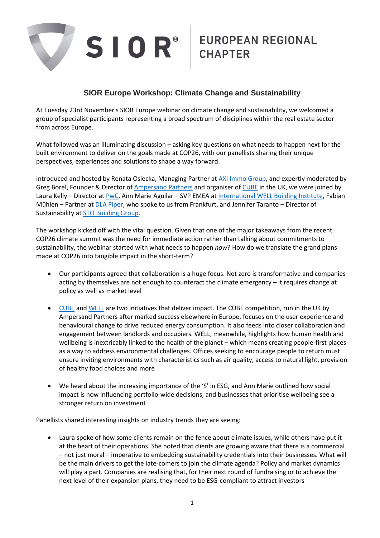

## **SIOR Europe Workshop: Climate Change and Sustainability**

At Tuesday 23rd November's SIOR Europe webinar on climate change and sustainability, we welcomed a group of specialist participants representing a broad spectrum of disciplines within the real estate sector from across Europe.

What followed was an illuminating discussion – asking key questions on what needs to happen next for the built environment to deliver on the goals made at COP26, with our panellists sharing their unique perspectives, experiences and solutions to shape a way forward.

Introduced and hosted by Renata Osiecka, Managing Partner at [AXI Immo Group,](https://en.axiimmo.com/) and expertly moderated by Greg Borel, Founder & Director of [Ampersand Partners](https://www.ampersand.partners/) and organiser of [CUBE](https://www.cubecompetition.co.uk/) in the UK, we were joined by Laura Kelly – Director at [PwC,](https://www.pwc.co.uk/) Ann Marie Aguilar – SVP EMEA at [International WELL Building Institute,](https://www.wellcertified.com/) Fabian Mühlen – Partner at [DLA Piper,](https://www.dlapiper.com/en/uk/) who spoke to us from Frankfurt, and Jennifer Taranto – Director of Sustainability at [STO Building Group.](https://stobuildinggroup.com/)

The workshop kicked off with the vital question. Given that one of the major takeaways from the recent COP26 climate summit was the need for immediate action rather than talking about commitments to sustainability, the webinar started with what needs to happen *now*? How do we translate the grand plans made at COP26 into tangible impact in the short-term?

- Our participants agreed that collaboration is a huge focus. Net zero is transformative and companies acting by themselves are not enough to counteract the climate emergency – it requires change at policy as well as market level
- [CUBE](https://www.cubecompetition.co.uk/) and [WELL](https://www.wellcertified.com/) are two initiatives that deliver impact. The CUBE competition, run in the UK by Ampersand Partners after marked success elsewhere in Europe, focuses on the user experience and behavioural change to drive reduced energy consumption. It also feeds into closer collaboration and engagement between landlords and occupiers. WELL, meanwhile, highlights how human health and wellbeing is inextricably linked to the health of the planet – which means creating people-first places as a way to address environmental challenges. Offices seeking to encourage people to return must ensure inviting environments with characteristics such as air quality, access to natural light, provision of healthy food choices and more
- We heard about the increasing importance of the 'S' in ESG, and Ann Marie outlined how social impact is now influencing portfolio-wide decisions, and businesses that prioritise wellbeing see a stronger return on investment

Panellists shared interesting insights on industry trends they are seeing:

• Laura spoke of how some clients remain on the fence about climate issues, while others have put it at the heart of their operations. She noted that clients are growing aware that there is a commercial – not just moral – imperative to embedding sustainability credentials into their businesses. What will be the main drivers to get the late-comers to join the climate agenda? Policy and market dynamics will play a part. Companies are realising that, for their next round of fundraising or to achieve the next level of their expansion plans, they need to be ESG-compliant to attract investors